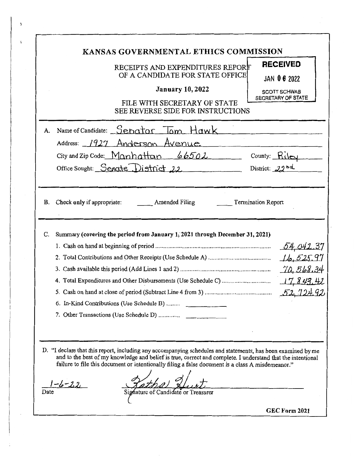|                   | RECEIPTS AND EXPENDITURES REPORT<br>OF A CANDIDATE FOR STATE OFFICE<br><b>January 10, 2022</b><br>FILE WITH SECRETARY OF STATE<br>SEE REVERSE SIDE FOR INSTRUCTIONS                                                                                                                                                                                                     | <b>RECEIVED</b><br><b>JAN 06 2022</b><br><b>SCOTT SCHWAB</b><br>SECRETARY OF STATE |
|-------------------|-------------------------------------------------------------------------------------------------------------------------------------------------------------------------------------------------------------------------------------------------------------------------------------------------------------------------------------------------------------------------|------------------------------------------------------------------------------------|
| A.                | Name of Candidate: Senator Tom Hawk<br>Address: 1927 Anderson Avenue<br>City and Zip Code: $M\alpha n$ $66502$ County: $R\log$<br>Office Sought: Senate District 22                                                                                                                                                                                                     | District: $22bd$                                                                   |
|                   | B. Check only if appropriate: Amended Filing                                                                                                                                                                                                                                                                                                                            | <b>Termination Report</b>                                                          |
| C.                | Summary (covering the period from January 1, 2021 through December 31, 2021)<br>6. In-Kind Contributions (Use Schedule B)                                                                                                                                                                                                                                               | 54,042.37<br>16,525.97<br>$577 - 711 - 67$                                         |
| $-6 - 22$<br>Date | D. "I declare that this report, including any accompanying schedules and statements, has been examined by me<br>and to the best of my knowledge and belief is true, correct and complete. I understand that the intentional<br>failure to file this document or intentionally filing a false document is a class A misdemeanor."<br>Signature of Candidate or Treasurer |                                                                                    |

 $\bar{\nu}$ 

宝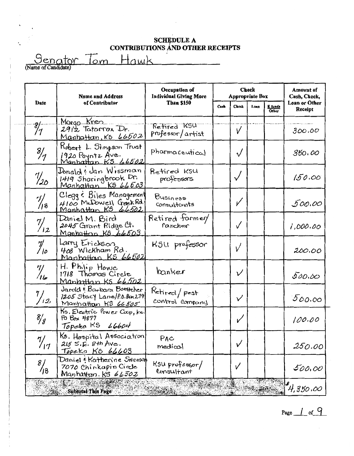$\mathbf{r}$ 

Senator Tom Hawk

 $\ldots$ 

|                           | <b>Name and Address</b>                                                                       | Occupation of<br><b>Individual Glving More</b> | Check<br><b>Appropriate Box</b> |              |      | Amount of<br>Cash, Check, |                          |
|---------------------------|-----------------------------------------------------------------------------------------------|------------------------------------------------|---------------------------------|--------------|------|---------------------------|--------------------------|
| Date                      | of Contributor                                                                                | <b>Than \$150</b>                              | Cash                            | <b>Check</b> | Loan | <u>E funds</u><br>Other   | Loan or Other<br>Receipt |
| $\frac{8}{7}$             | Margo Kren<br>2912 Tatorrox Dr.<br><u> Manhattan, KS 66502</u>                                | Refired KSU<br>professor/artist                |                                 | V            |      |                           | 300.00                   |
| $\frac{8}{7}$             | Kobert L. Simpson Trust<br>1920 Poyntz Ave.<br>Manhattan KS 66502                             | pharmaceutical                                 |                                 | $\sqrt{}$    |      |                           | 350.00                   |
| $\frac{7}{2}$             | Donalde dan Wissman<br>1419 Sharingbrook Dr.<br><u>Manhattan KS 66603</u>                     | Retired KSU<br>professors                      |                                 | $\checkmark$ |      |                           | 150.00                   |
| $\frac{7}{18}$            | Clegg & Biles Management<br>4100 McDowell Greek Rd.<br>Manhattan KS 66502                     | Business<br><b>Consultants</b>                 |                                 | V            |      |                           | 500.00                   |
| $\frac{7}{12}$            | Daniel M. Bird<br>2045 Grant Ridge Ct.<br>Manhatton KS 66503                                  | Retired former<br>rancher                      |                                 | ✓            |      |                           | 1,000.00                 |
| $\mathcal{J}_{\prime o}'$ | Larry Erickson<br>408 Wickham Rd.<br>Manhattan KS 66502                                       | K5U professor                                  |                                 |              |      |                           | 200.00                   |
| $\frac{7}{16}$            | H. Philip Howe<br>1718 Thomas Circle<br><u>Manhattan KS 66502</u>                             | banker                                         |                                 | ν            |      |                           | 500.00                   |
| $\frac{7}{12}$            | Jarold & Barbara Boettcher<br>1205 Stacy Lane/P.O.Bax279<br>Manhattan KS 66505                | Retired/pest<br>control company                |                                 | $\checkmark$ |      |                           | 500.00                   |
| $\frac{8}{3}$             | Ks. Electric Power Coop, Inc.<br>Po Box 4877<br>Topera KS 66604                               |                                                |                                 | $\checkmark$ |      |                           | 100.00                   |
| 7/<br>717                 | Ks. Hospital Association<br>$215$ S.E. $8$ th Ave.<br>Topeka KS 66603                         | PAC<br>medical                                 |                                 | ν            |      |                           | 250.00                   |
| $\frac{8}{13}$            | Daniel : Katherine Swenson<br>7070 Chinkapin Circle<br>Manha <del>il</del> an K5 <i>66502</i> | KSU professor/<br>Consultant                   |                                 | V            |      |                           | 500,00                   |
|                           | <b>Subtotal This Page</b>                                                                     | <b>CONTRACTOR</b>                              |                                 |              |      |                           | $\mu_{1,350,00}$         |

Page  $\frac{1}{1}$  of  $\frac{9}{1}$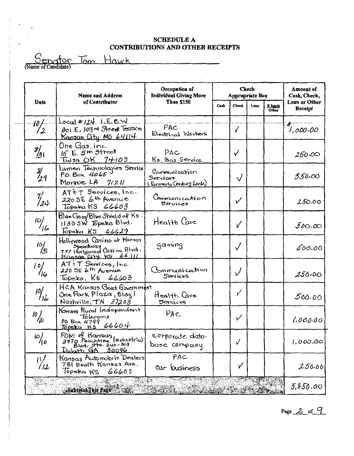Senator Tom Howk

 $\ldots$ 

|                       | <b>Name and Address</b>                                                                       | Occupation of<br><b>Individual Giving More</b>       |      | <b>Check</b><br><b>Appropriate Box</b> |      |                  | Amount of<br>Cash, Check,       |
|-----------------------|-----------------------------------------------------------------------------------------------|------------------------------------------------------|------|----------------------------------------|------|------------------|---------------------------------|
| Date                  | of Contributor<br>Than \$150                                                                  |                                                      | Cash | Check                                  | Loan | E funds<br>Other | <b>Loan or Other</b><br>Receipt |
| $\frac{10}{2}$        | Local #124 1.E.B.M.<br>301 E. 109 rd Street Terrace<br>Kansas City MO 64114                   | PAC<br>Electrical Workers                            |      | ✓                                      |      |                  | 1,000.00                        |
| $\frac{8}{31}$        | One Gas, Inc.<br>$15E$ $5H$ street<br>T <sub>w</sub> 19a OK 74103                             | PAC<br>Ks. Cas Service                               |      | ✓                                      |      |                  | 250,000                         |
| $\frac{g}{2}q$        | Lumen Technologies Service<br>P.O.Box 4065<br>Monroe LA $7/211$                               | Communication<br>Services<br>(Formerly Century Link) |      | $\sqrt{}$                              |      |                  | 350.00                          |
| 1/<br>/24             | ATOT Services, Inc.<br>$2205E$ 6th Avenue<br>Topeka KS 66603                                  | Communication<br>Beruices                            |      | ✓                                      |      |                  | 250.00                          |
| $\frac{10}{16}$       | Blue Closs/Blue Shield of Ks.<br>1133 SW Topeka Blvd.<br>Topeka $K5$ 66629                    | Health Care                                          |      | V                                      |      |                  | 500,00                          |
| $\frac{10}{31}$       | Hollywood Casino at Kansas<br>Speedway<br>777 Hollywood Casing Blvd.<br>Kansas City KS 66 III | gaming                                               |      |                                        |      |                  | 500.00                          |
| $\frac{1}{16}$        | AT: T Services, Inc.<br>220 SE 6th Avenue<br>Topeka, K5 66603                                 | Communication<br>Senices                             |      | $\sqrt{ }$                             |      |                  | 250.00                          |
| $\frac{10}{16}$       | HCA Kansas Good Government<br>One Park Plaza, Blag í<br>Nashville, TN 37203                   | Health Care<br><del>J</del> erviceo                  |      | ✓                                      |      |                  | 500.00                          |
| $\frac{10}{10}$       | Konsos Rural Independent<br>Telecoms<br>PO Box 4799<br>Topeka KS 66604                        | PAC                                                  |      | $\overline{\nu}$                       |      |                  | 1,000.00                        |
| O <br>10              | POM of Kansas<br>3870 Peachtree Industrial<br>$D$ Blvd. Ste. 340-308                          | corporate dato-<br>base Company                      |      |                                        |      |                  | 1,000,00                        |
| $\mathfrak{m}$<br>/12 | Kangas Automobile Dealers<br>731 South Kansas Ave.<br>Tupeka KS<br>66603                      | PAC<br>Car business                                  |      | $\checkmark$                           |      |                  | 250.00                          |
| di più                | & Subtotal This Page                                                                          | $\sqrt{6.2}$                                         |      |                                        |      |                  | 5,850,00                        |

Page  $2$  of  $9$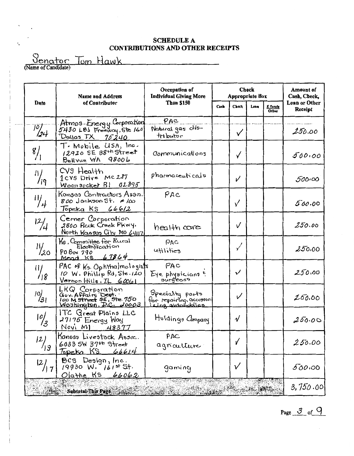<u>Senator</u> Tom Hawk

Ä,

|                    | <b>Name and Address</b>                                                                                    | <b>Check</b><br>Occupation of<br><b>Individual Giving More</b><br><b>Appropriate Box</b> |      |              | Amount of<br>Cash, Check, |                  |                          |
|--------------------|------------------------------------------------------------------------------------------------------------|------------------------------------------------------------------------------------------|------|--------------|---------------------------|------------------|--------------------------|
| Date               | of Contributor                                                                                             | <b>Than \$150</b>                                                                        | Cash | <b>Check</b> | Loan                      | E funds<br>Other | Loan or Other<br>Receipt |
| $\frac{10}{24}$    | Atmos Energy Corporation<br>5430 LBS Freeway, Ste 160<br>Dollas FX 75240                                   | PAC<br>Natural gas dis-<br>tributor                                                      |      | $\checkmark$ |                           |                  | 250.00                   |
| $\frac{8}{1}$      | T. Mobile USA, Inc.<br>12920 SE 38th Street<br>Bellyne WA 98006                                            | Communications                                                                           |      | ✓            |                           |                  | 500,00                   |
| $\frac{11}{19}$    | CV9 Health<br>1CVS Drive MC287<br>Woonsocket RI<br>OL895                                                   | pharmaceuticals                                                                          |      | V            |                           |                  | 500.00                   |
| $\frac{11}{4}$     | Kansas Contractors Assn.<br>800 Jackson St. # 100<br>Topeka KS 66612                                       | PAC                                                                                      |      | ✓            |                           |                  | 500.00                   |
| $\frac{12}{4}$     | Cerner Corporation<br>2800 Rock Creek Pkwy.<br>North Kangas City Mo 64117                                  | health core                                                                              |      | $\checkmark$ |                           |                  | 250.00                   |
| $\frac{1}{2}$      | Ks , Committoe for Rural<br>Electrification<br>P0 Box 790<br>Mead $15864$                                  | <b>DAC</b><br>utilities                                                                  |      | $\checkmark$ |                           |                  | 250.00                   |
| $\frac{1}{3}$      | PAC of Ks. Ophthalmologists<br>10 W. Phillip Rd, Ste. 120<br>$V$ ernon Hills, IL 60061                     | PAC<br>Eye physicians <sup>e</sup> .<br>surgeons                                         |      | $\checkmark$ |                           |                  | 250,00                   |
| $\frac{10}{31}$    | LKQ Corporation<br>Gov. Affairs Dent.<br><i>(ep</i> M street se, ste 750<br><u> Washington, D.C. 20003</u> | Specially parts<br>for repairing accessors<br>laing automobiles                          |      | $\checkmark$ |                           |                  | 250.00                   |
| 10/3               | ITC Great Plains LLC<br>27175 Energy Way<br>Novi MI<br>48377                                               | Holdings Company                                                                         |      | $\sqrt{ }$   |                           |                  | 250.00                   |
| $ 2\rangle$<br>1/3 | Kansas Livestock Asooc.<br>$603356637^{th}$ street<br><u>Topeka KS</u><br>66614                            | JA9<br>agnauture                                                                         |      | $\checkmark$ |                           |                  | 250.00                   |
| $\frac{12}{17}$    | $Bcs$ Design, Inc.<br>19930 W. 161st St.<br>Olathe KS 66062                                                | gaming                                                                                   |      | ν            |                           |                  | 500.00                   |
|                    | Subtotal This Page                                                                                         |                                                                                          |      |              |                           |                  | 3,750.00                 |

Page  $\frac{3}{\circ}$  of  $\frac{9}{\circ}$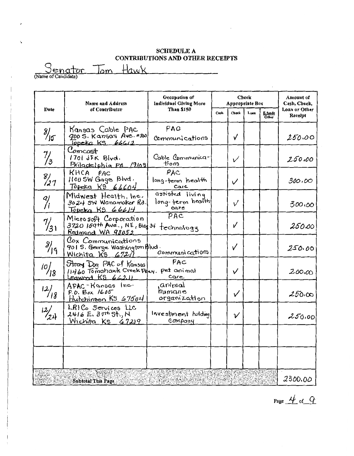Senator Tom Hawk

|                    | <b>Name and Address</b>                                                                 | Occupation of<br><b>Individual Giving More</b> |      | Check<br>Appropriate Box |      | Amount of<br>Cash, Check, |                          |
|--------------------|-----------------------------------------------------------------------------------------|------------------------------------------------|------|--------------------------|------|---------------------------|--------------------------|
| Date               | of Contributor                                                                          | Than \$150                                     | Cash | Check                    | Loan | E funds<br>Other          | Loan or Other<br>Receipt |
| $\frac{8}{5}$      | Kansas Cable PAC<br>900 S. Kansas Ave. #300<br><u>Topeka KS 66612</u>                   | PAC<br>Communications                          |      | $\checkmark$             |      |                           | 250.00                   |
| $\frac{7}{3}$      | Comcast<br>1701 JFK Blvd.<br>Priactobla PA 19103                                        | Caple Communica-<br>enort                      |      | V                        |      |                           | 250.00                   |
| $\frac{8}{27}$     | KHCA PAC<br>1100 SW Gage Blvd.<br>Topeka K9 66604                                       | PAC<br>long-term health<br>Care                |      | $\checkmark$             |      |                           | 300,00                   |
| 9)<br>             | Midwest Health, Inc.<br>3024 5W Wanamaker Rd.<br>Topeka KS 66614                        | assisted living<br>long-ferm health<br>care    |      | $\checkmark$             |      |                           | 300.00                   |
| $\frac{7}{31}$     | Microsoft Corporation<br>3720 159th Ave., NE, Bldg 34 technology<br>Redmond WA 98052    | PAC                                            |      | $\checkmark$             |      |                           | 250.00                   |
| $\frac{g}{\log g}$ | Cox Communications<br>901 S. George Washington Blud.<br>Wichita KS 6721                 | communications                                 |      | ✓                        |      |                           | 250.00                   |
| $\frac{10}{3}$     | Stray Dog PAC of Kansas<br>11460 Tomahawk Creek Pray. Pet animal<br>Leaword $KS$ 662.11 | PAC<br>Care                                    |      | $\checkmark$             |      |                           | 200,00                   |
| $\frac{12}{18}$    | APAC-Kansas Inc.<br>P.D. Box 1605<br>Hutchinson KS 67504                                | animal<br>humane<br>organization               |      | $\checkmark$             |      |                           | 250.00                   |
| $\frac{12}{24}$    | LRICo Services LLC<br>$2416$ E. $3775$ St., N<br>Wichita KS 67219                       | Investment hulding<br>Company                  |      | ν                        |      |                           | 250.00                   |
|                    |                                                                                         |                                                |      |                          |      |                           |                          |
|                    | <b>Subtotal This Page</b>                                                               |                                                |      |                          |      |                           | 2300.00                  |

Page  $4$  of  $9$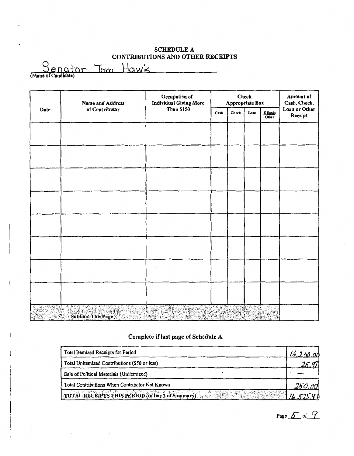| Jenator             | lom | , Hawk |  |
|---------------------|-----|--------|--|
| (Name of Candidate) |     |        |  |

 $\ddot{\phantom{a}}$ 

|      | Name and Address            | Occupation of<br>Individual Giving More | Check<br>Appropriate Box               |       |      |                                                  | Amount of<br>Cash, Check, |
|------|-----------------------------|-----------------------------------------|----------------------------------------|-------|------|--------------------------------------------------|---------------------------|
| Date | of Contributor              | <b>Than \$150</b>                       | Cash                                   | Check | Loan | $rac{\text{E} \cdot \text{funds}}{\text{Other}}$ | Loan or Other<br>Receipt  |
|      |                             |                                         |                                        |       |      |                                                  |                           |
|      |                             |                                         |                                        |       |      |                                                  |                           |
|      |                             |                                         |                                        |       |      |                                                  |                           |
|      |                             |                                         |                                        |       |      |                                                  |                           |
|      |                             |                                         |                                        |       |      |                                                  |                           |
|      |                             |                                         |                                        |       |      |                                                  |                           |
|      |                             |                                         |                                        |       |      |                                                  |                           |
|      |                             |                                         |                                        |       |      |                                                  |                           |
| ۰.,  | Subtotal This Page<br>°∴a k |                                         | $\mathbb{E}[\mathcal{G}(\mathcal{S})]$ |       |      |                                                  |                           |

# Complete if last page of Schedule A

| Total Itemized Receipts for Period                | 16.250.00 |
|---------------------------------------------------|-----------|
| Total Unitemized Contributions (\$50 or less)     |           |
| Sale of Political Materials (Uniternized)         |           |
| Total Contributions When Contributor Not Known    | 250.00    |
| TOTAL RECEIPTS THIS PERIOD (to line 2 of Summary) |           |

Page  $5$  of  $9$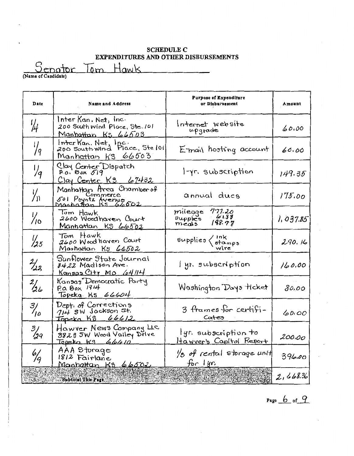**SCHEDULE C EXPENDITURES AND OTHER DISBURSEMENTS** 

Genator Tom Hawk

| Date            | Name and Address                                                                     | <b>Purpose of Expenditure</b><br>or Disbursement                                                      | Amount    |
|-----------------|--------------------------------------------------------------------------------------|-------------------------------------------------------------------------------------------------------|-----------|
| ₩               | Inter Kan, Net, Inc.<br>200 South wind Place, Ste. 101<br><u>Manhattan Ks 66503</u>  | Internet website<br>upgrade                                                                           | 60.00     |
| 1/<br>/9        | Inter Kan. Net, Inc.<br>200 South Wind Place, Stel01<br>Manhattan KS 66503           | E-mail hosting account                                                                                | 60.00     |
| $\frac{1}{q}$   | Clay Center Dispatch<br>P.o. Box 519<br>Clay Center K3 67432                         | l-yr. subscription                                                                                    | 149.35    |
| 为               | Manhattagn Area Chamber of<br>Jol Poyntz Avenue<br>Jol Poyntz Avenue                 | annual dues                                                                                           | 175.00    |
| $\frac{1}{10}$  | Tom Hawk<br>2600 Woodhaven Court<br>Manhattan KS 66502                               | milegge 777.20<br>61.88<br>supples<br>198.77<br>meas                                                  | 1,037.85  |
| $\frac{1}{25}$  | 'Tom Hawk<br>2600 Wood haven Court<br>Manhattan KS 66502                             | $\mathcal{G}$ upplies $\left\langle \frac{\mathsf{ink}}{\mathsf{sigma}}_{\mathsf{mpp}} \right\rangle$ | 290.16    |
| $\frac{2}{32}$  | Sunflower State Journal<br>8422 Madison Ave.<br>Kansas City Mo 64114                 | lyn subscription                                                                                      | 160.00    |
| $\frac{21}{26}$ | Kansas Democratic Party<br>$P_{0}$ $\alpha$ $B_{0}$ $\chi$ $1914$<br>Topeka Ks 66604 | Washington Days ticket                                                                                | 80.00     |
| $\frac{3}{10}$  | Dept. of Corrections<br>714 SW Jackson st.<br>Topeka KS 66612                        | 3 frames for certifi-<br>Cates                                                                        | 60,00     |
| $\frac{3}{2}$   | Hawver News Company LLC<br>3823 5W Wood Valley Drive<br>Topeka KS 66610              | lyr. subscription to<br>Hawver's Capitol Report                                                       | 200.00    |
| $\frac{6}{9}$   | AAA Sturage<br>1812 Fairlane<br><u>Manhattan Ki 66502</u>                            | /3 of rental storage unit<br>$f_{0}$ $\int$ $y$ r                                                     | 396.00    |
|                 | Subtotal This Page                                                                   |                                                                                                       | 2, 468.36 |

Page  $6$  of  $9$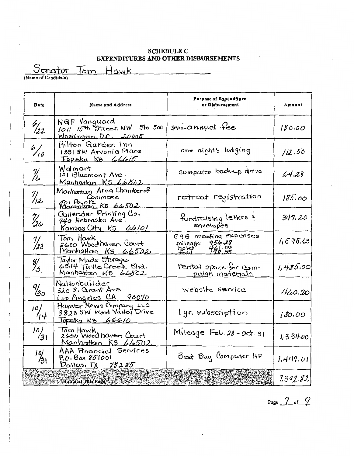#### **SCHEDULE C** EXPENDITURES AND OTHER DISBURSEMENTS

Senator Tom Hawk

| Date                          | Name and Address                                                                   | Purpose of Expenditure<br>or Disbursement                            | Amount   |
|-------------------------------|------------------------------------------------------------------------------------|----------------------------------------------------------------------|----------|
| $\frac{6}{22}$                | NGP Vanguard<br>1011 15th <sup>9</sup> treet, NW 5to 500<br>Washington, D.C. 20005 | semi-annual fee                                                      | 180.00   |
| $\frac{6}{10}$                | Hilton Garden Inn<br>1351 5W Arvonia Place<br>Topeka K9 <i>lobla15</i>             | one night's lodging                                                  | 112,50   |
| $\frac{\eta}{\mu}$            | Walmart<br>101 Bluemont Ave.<br>Manhattan K5 66502                                 | computer back-up drive                                               | 64.28    |
| $\frac{\eta_{12}}{\eta_{22}}$ | Manhattan Area Chamberof<br>Commerce<br>501 Pountz<br>Manpolian KS 66502           | retreat registration                                                 | 185.00   |
| 1  <br>126                    | Callender Printing Co.<br>740 Nebraska Ave.<br><u>Kansos City KS 66101</u>         | fundraising letters ?                                                | 347.20   |
| $\frac{7}{23}$                | Tom Hawk<br>2600 Woodharen Court<br>Manhattan Ks 66502                             | 03G mecting expenses<br>956 28<br>miteage<br>Thotel<br>Frod<br>44.98 | 1.595.63 |
| $\frac{8}{3}$                 | Taylor Mode Storage<br>6844 Tuttle Creek Blvd.<br>Manhattan KS 66502               | rental space for cam-<br>paign materials                             | 1,485.00 |
| 9/<br>130                     | Nationbuilder<br>$520$ S. Carant Ave.<br>Los Angeles CA 90070                      | website sarvice                                                      | 460.20   |
| 10]<br>/14                    | Hawver News Company LLC<br>3823 SW Wood Valley Drive<br>Topeka KS 66610            | lyr. subscription                                                    | 180.00   |
| 10)<br>ו3ל                    | Tom Hawk<br>2600 Wood haven Court<br>Manhattan KS 66502                            | Mileage Feb. 28-Oct. 31                                              | 1,334.00 |
| $\frac{10}{31}$               | AAA Financial Services<br>P.O. Box 851001<br>Darias, TX 75285                      | Best Buy Computer HP                                                 | 1.449.01 |
|                               | Subtotal This Page                                                                 |                                                                      | 7,392.82 |

# Page  $\frac{7}{5}$  of  $\frac{9}{5}$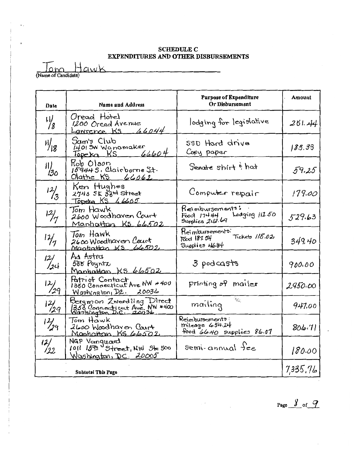#### **SCHEDULE C** EXPENDITURES AND OTHER DISBURSEMENTS

Name of Candidate)

| Date            | <b>Name and Address</b>                                                            | <b>Purpose of Expenditure</b><br>Or Disbursement                       | Amount   |
|-----------------|------------------------------------------------------------------------------------|------------------------------------------------------------------------|----------|
| ۱J.<br>18       | Oread Hotel<br>1200 Oread Avenue<br>Lawrence $K5$ 66044                            | lodging for legislative                                                | 251.44   |
| $\frac{1}{18}$  | Sam's Club<br>1401 SW Wanamaker<br>66604<br>Topeka KS                              | 59D Hard drive<br>Copy paper                                           | 183.33   |
| $\frac{1}{30}$  | Kob Olson<br>$159445.$ Clairborne St.<br>Olathe KS 66062                           | Senate shirt & hat                                                     | 59.25    |
| $\frac{12}{3}$  | Ken Hughes<br>2740 SE 33m Street<br>Topeta KS 66605                                | Computer repair                                                        | 179.00   |
| $\frac{12}{7}$  | Tom Hawk<br>2600 Woodhaven Court<br>Manhattan K5 66502                             | Reimbursements:<br>Lodging 112.50<br>Food 174.44<br>Supplies 242.69    | 529.63   |
| $\frac{1}{7}$   | Tom Hawk<br>2600 Woodhaven Court<br>Mantattan KS 66502                             | Reimbursements.<br>$Tickets$ $115.02$<br>Food 187.54<br>Supplies H6.84 | 349.40   |
| $\frac{12}{2}$  | Aa Astra<br>555 Poynta<br>Manhattan KS 66502                                       | 3 podcasts                                                             | 900.00   |
| $\frac{12}{29}$ | Patriof Contact<br>1350 Connecticut Are NW #400<br>Washington, D.c. 20036          | printing of mailer                                                     | 2950.00  |
| $\frac{12}{29}$ | Bergman Zwerdling Direct<br>1358 Connecticut Ave. NW #400<br>Washington D.C. 20036 | $\mathcal{E}_{\mathcal{L}}$ .<br>mailing                               | 947.00   |
| 12/29           | 2600 Woodharen Court<br>Monhatan, KS 66502                                         | Reimbursements:<br>$mileage$ $654.24$<br>Food 66.40 supplies 86.07     | 806.71   |
| $\frac{12}{12}$ | NGP Vanquard<br>1011 15th Street, NW Ste 500<br>Washington, DC 20005               | $semi$ -annual fee                                                     | 180.00   |
|                 | <b>Subtotal This Page</b>                                                          |                                                                        | 7,335,76 |

Page  $\frac{y}{x}$  of  $\frac{q}{x}$